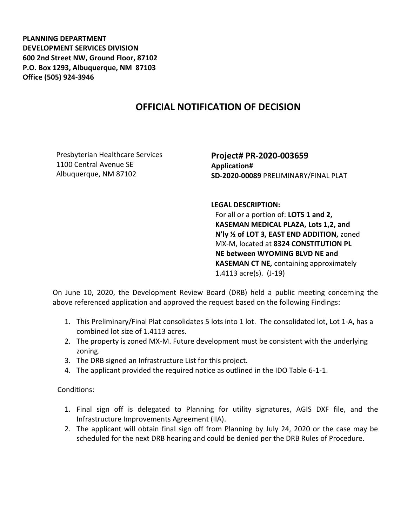**PLANNING DEPARTMENT DEVELOPMENT SERVICES DIVISION 600 2nd Street NW, Ground Floor, 87102 P.O. Box 1293, Albuquerque, NM 87103 Office (505) 924-3946** 

## **OFFICIAL NOTIFICATION OF DECISION**

Presbyterian Healthcare Services 1100 Central Avenue SE Albuquerque, NM 87102

**Project# PR-2020-003659 Application# SD-2020-00089** PRELIMINARY/FINAL PLAT

**LEGAL DESCRIPTION:**

For all or a portion of: **LOTS 1 and 2, KASEMAN MEDICAL PLAZA, Lots 1,2, and N'ly ½ of LOT 3, EAST END ADDITION,** zoned MX-M, located at **8324 CONSTITUTION PL NE between WYOMING BLVD NE and KASEMAN CT NE,** containing approximately 1.4113 acre(s). (J-19)

On June 10, 2020, the Development Review Board (DRB) held a public meeting concerning the above referenced application and approved the request based on the following Findings:

- 1. This Preliminary/Final Plat consolidates 5 lots into 1 lot. The consolidated lot, Lot 1-A, has a combined lot size of 1.4113 acres.
- 2. The property is zoned MX-M. Future development must be consistent with the underlying zoning.
- 3. The DRB signed an Infrastructure List for this project.
- 4. The applicant provided the required notice as outlined in the IDO Table 6-1-1.

Conditions:

- 1. Final sign off is delegated to Planning for utility signatures, AGIS DXF file, and the Infrastructure Improvements Agreement (IIA).
- 2. The applicant will obtain final sign off from Planning by July 24, 2020 or the case may be scheduled for the next DRB hearing and could be denied per the DRB Rules of Procedure.